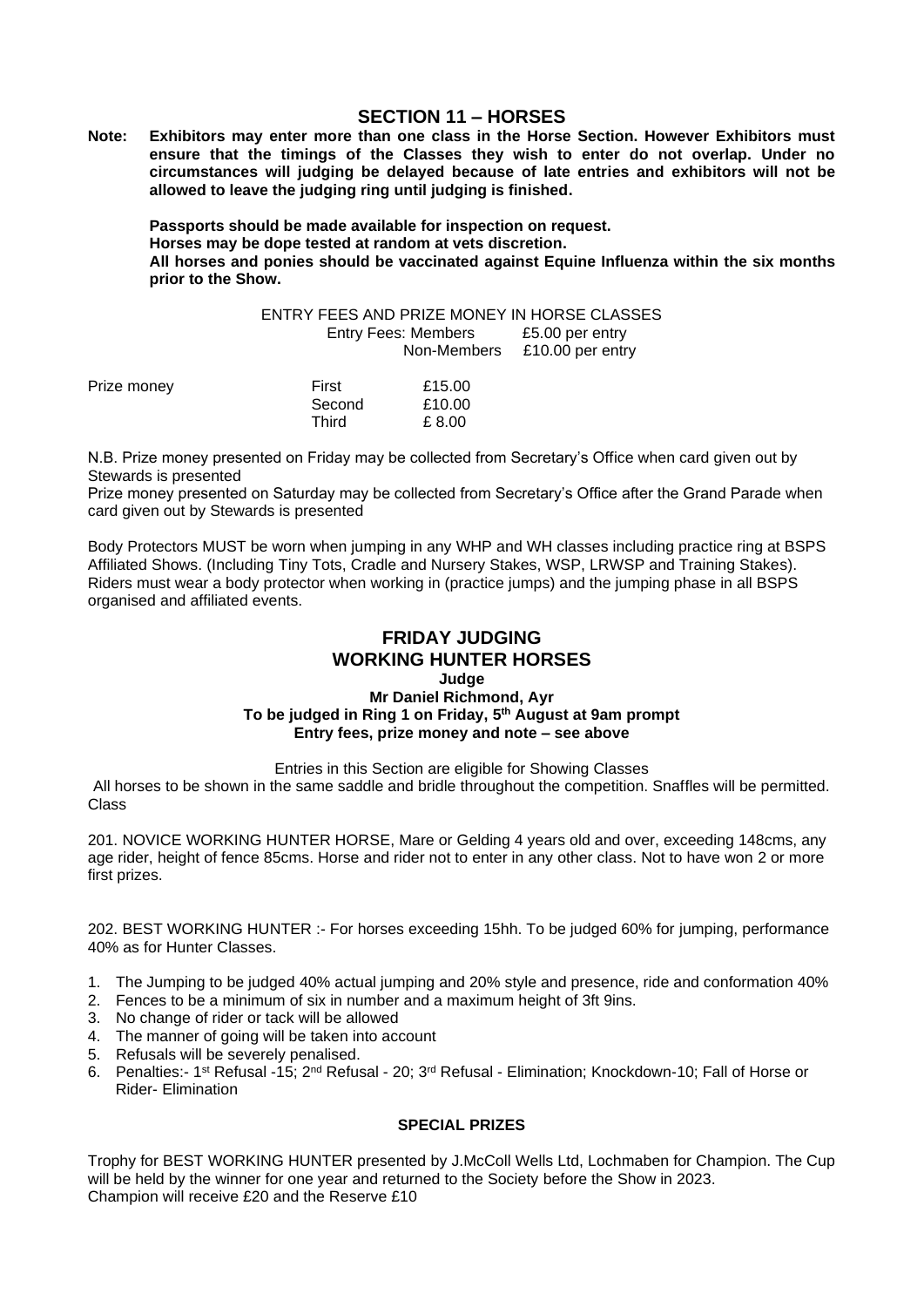## **SECTION 11 – HORSES**

**Note: Exhibitors may enter more than one class in the Horse Section. However Exhibitors must ensure that the timings of the Classes they wish to enter do not overlap. Under no circumstances will judging be delayed because of late entries and exhibitors will not be allowed to leave the judging ring until judging is finished.**

**Passports should be made available for inspection on request. Horses may be dope tested at random at vets discretion. All horses and ponies should be vaccinated against Equine Influenza within the six months prior to the Show.**

|             |        | <b>Entry Fees: Members</b><br>Non-Members | £5.00 per entry<br>£10.00 per entry |
|-------------|--------|-------------------------------------------|-------------------------------------|
| Prize money | First  | £15.00                                    |                                     |
|             | Second | £10.00                                    |                                     |
|             | Third  | £ 8.00                                    |                                     |

N.B. Prize money presented on Friday may be collected from Secretary's Office when card given out by Stewards is presented

Prize money presented on Saturday may be collected from Secretary's Office after the Grand Parade when card given out by Stewards is presented

Body Protectors MUST be worn when jumping in any WHP and WH classes including practice ring at BSPS Affiliated Shows. (Including Tiny Tots, Cradle and Nursery Stakes, WSP, LRWSP and Training Stakes). Riders must wear a body protector when working in (practice jumps) and the jumping phase in all BSPS organised and affiliated events.

## **FRIDAY JUDGING WORKING HUNTER HORSES**

## **Judge**

#### **Mr Daniel Richmond, Ayr To be judged in Ring 1 on Friday, 5 th August at 9am prompt Entry fees, prize money and note – see above**

Entries in this Section are eligible for Showing Classes

All horses to be shown in the same saddle and bridle throughout the competition. Snaffles will be permitted. Class

201. NOVICE WORKING HUNTER HORSE, Mare or Gelding 4 years old and over, exceeding 148cms, any age rider, height of fence 85cms. Horse and rider not to enter in any other class. Not to have won 2 or more first prizes.

202. BEST WORKING HUNTER :- For horses exceeding 15hh. To be judged 60% for jumping, performance 40% as for Hunter Classes.

- 1. The Jumping to be judged 40% actual jumping and 20% style and presence, ride and conformation 40%
- 2. Fences to be a minimum of six in number and a maximum height of 3ft 9ins.
- 3. No change of rider or tack will be allowed
- 4. The manner of going will be taken into account
- 5. Refusals will be severely penalised.
- 6. Penalties:- 1<sup>st</sup> Refusal -15; 2<sup>nd</sup> Refusal 20; 3<sup>rd</sup> Refusal Elimination; Knockdown-10; Fall of Horse or Rider- Elimination

## **SPECIAL PRIZES**

Trophy for BEST WORKING HUNTER presented by J.McColl Wells Ltd, Lochmaben for Champion. The Cup will be held by the winner for one year and returned to the Society before the Show in 2023. Champion will receive £20 and the Reserve £10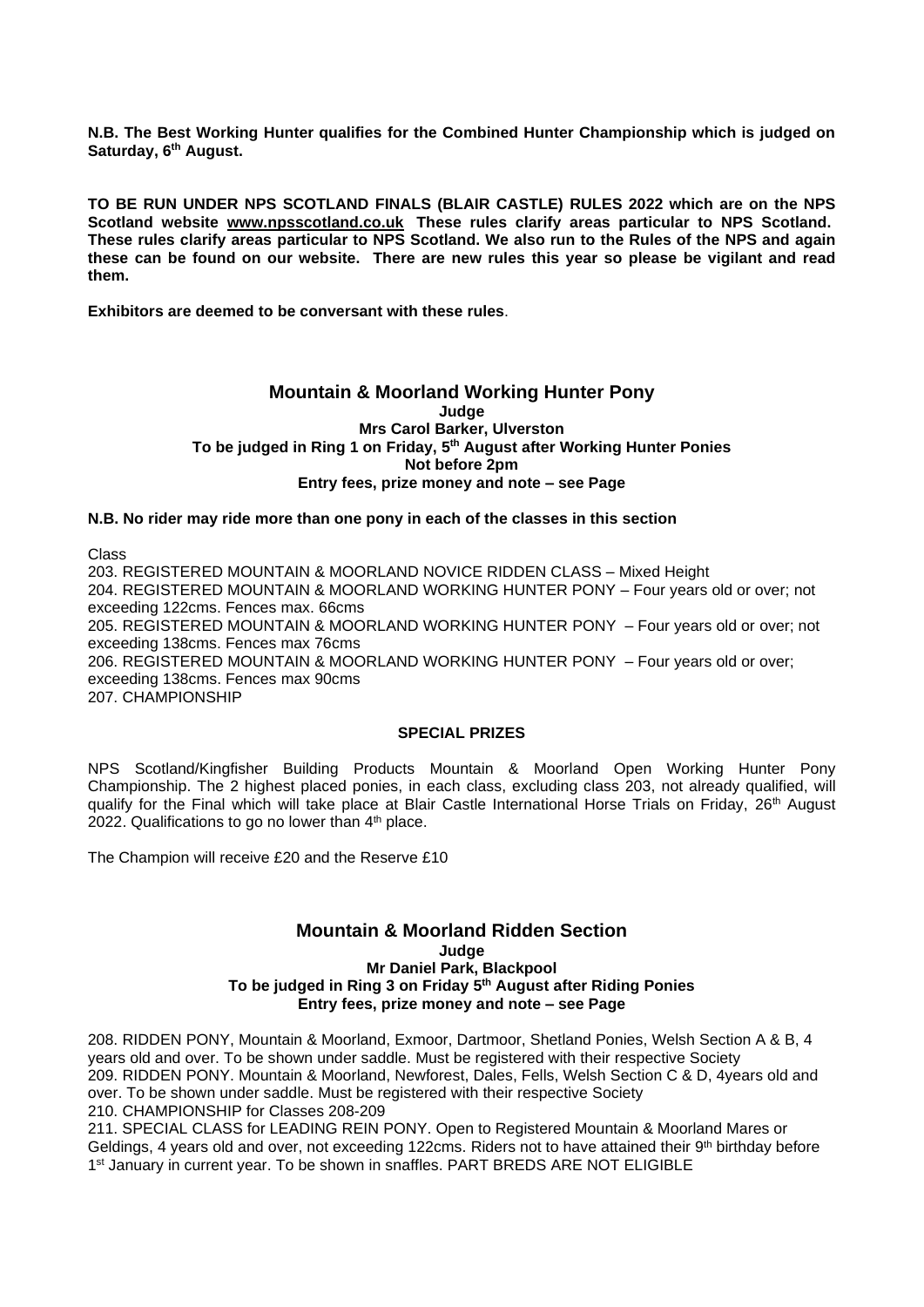**N.B. The Best Working Hunter qualifies for the Combined Hunter Championship which is judged on Saturday, 6 th August.**

**TO BE RUN UNDER NPS SCOTLAND FINALS (BLAIR CASTLE) RULES 2022 which are on the NPS Scotland website [www.npsscotland.co.uk](https://nam02.safelinks.protection.outlook.com/?url=http%3A%2F%2Fwww.npsscotland.co.uk&data=02%7C01%7C%7C6573275bc8284aaa9d1d08d6772e2d83%7C84df9e7fe9f640afb435aaaaaaaaaaaa%7C1%7C0%7C636827437547587710&sdata=GAupqNGZOPNcW4dHfcU1S0ucQE%2FaChbA20WYuBkDiMY%3D&reserved=0) These rules clarify areas particular to NPS Scotland.**  These rules clarify areas particular to NPS Scotland. We also run to the Rules of the NPS and again **these can be found on our website. There are new rules this year so please be vigilant and read them.**

**Exhibitors are deemed to be conversant with these rules**.

#### **Mountain & Moorland Working Hunter Pony Judge Mrs Carol Barker, Ulverston To be judged in Ring 1 on Friday, 5 th August after Working Hunter Ponies Not before 2pm Entry fees, prize money and note – see Page**

#### **N.B. No rider may ride more than one pony in each of the classes in this section**

Class

203. REGISTERED MOUNTAIN & MOORLAND NOVICE RIDDEN CLASS – Mixed Height 204. REGISTERED MOUNTAIN & MOORLAND WORKING HUNTER PONY – Four years old or over; not exceeding 122cms. Fences max. 66cms 205. REGISTERED MOUNTAIN & MOORLAND WORKING HUNTER PONY – Four years old or over; not exceeding 138cms. Fences max 76cms 206. REGISTERED MOUNTAIN & MOORLAND WORKING HUNTER PONY – Four years old or over; exceeding 138cms. Fences max 90cms 207. CHAMPIONSHIP

#### **SPECIAL PRIZES**

NPS Scotland/Kingfisher Building Products Mountain & Moorland Open Working Hunter Pony Championship. The 2 highest placed ponies, in each class, excluding class 203, not already qualified, will qualify for the Final which will take place at Blair Castle International Horse Trials on Friday, 26<sup>th</sup> August 2022. Qualifications to go no lower than  $4<sup>th</sup>$  place.

The Champion will receive £20 and the Reserve £10

#### **Mountain & Moorland Ridden Section Judge Mr Daniel Park, Blackpool To be judged in Ring 3 on Friday 5 th August after Riding Ponies Entry fees, prize money and note – see Page**

208. RIDDEN PONY, Mountain & Moorland, Exmoor, Dartmoor, Shetland Ponies, Welsh Section A & B, 4 years old and over. To be shown under saddle. Must be registered with their respective Society 209. RIDDEN PONY. Mountain & Moorland, Newforest, Dales, Fells, Welsh Section C & D, 4years old and over. To be shown under saddle. Must be registered with their respective Society 210. CHAMPIONSHIP for Classes 208-209

211. SPECIAL CLASS for LEADING REIN PONY. Open to Registered Mountain & Moorland Mares or Geldings, 4 years old and over, not exceeding 122cms. Riders not to have attained their  $9<sup>th</sup>$  birthday before 1<sup>st</sup> January in current year. To be shown in snaffles. PART BREDS ARE NOT ELIGIBLE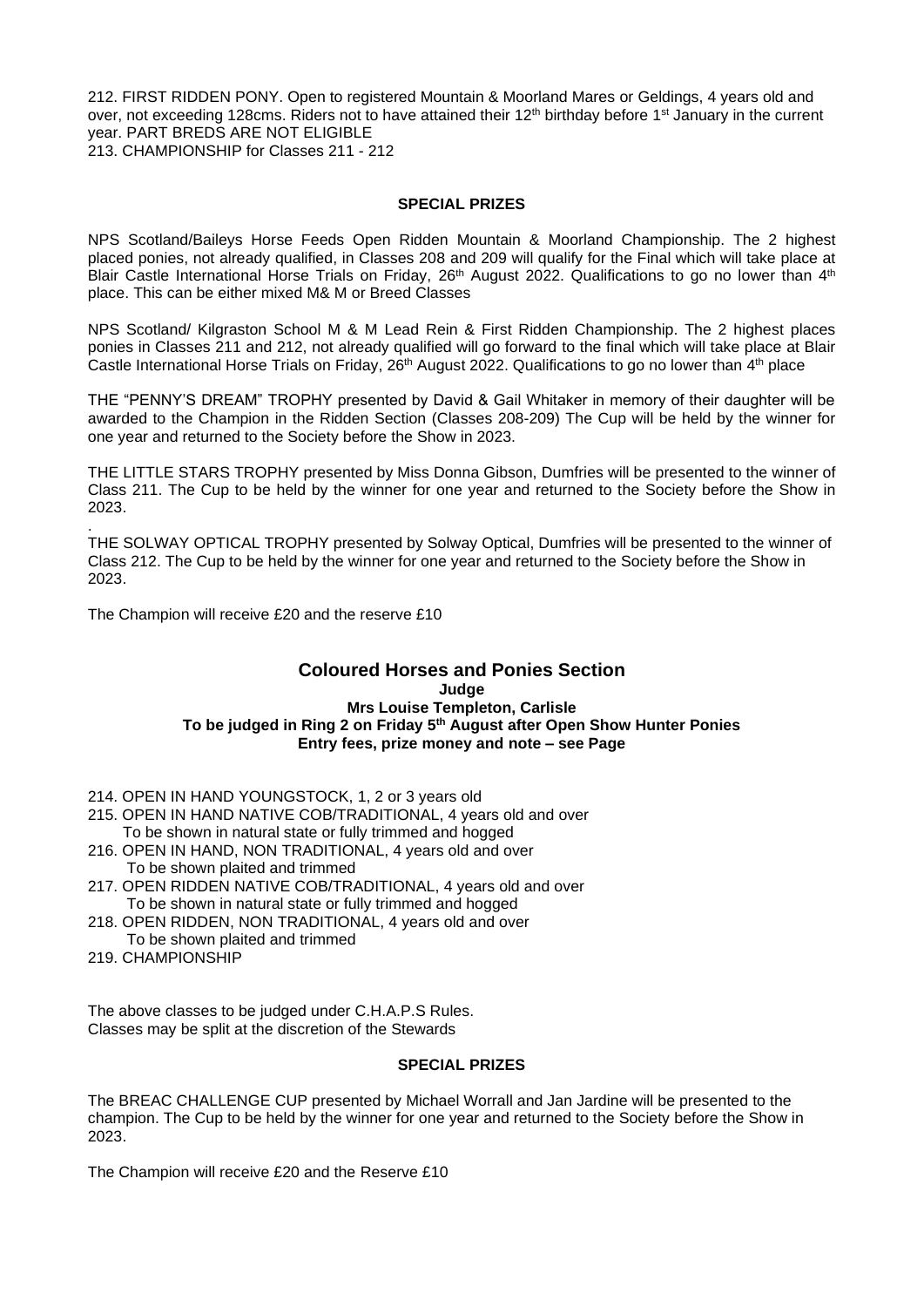212. FIRST RIDDEN PONY. Open to registered Mountain & Moorland Mares or Geldings, 4 years old and over, not exceeding 128cms. Riders not to have attained their 12<sup>th</sup> birthday before 1<sup>st</sup> January in the current year. PART BREDS ARE NOT ELIGIBLE 213. CHAMPIONSHIP for Classes 211 - 212

#### **SPECIAL PRIZES**

NPS Scotland/Baileys Horse Feeds Open Ridden Mountain & Moorland Championship. The 2 highest placed ponies, not already qualified, in Classes 208 and 209 will qualify for the Final which will take place at Blair Castle International Horse Trials on Friday, 26<sup>th</sup> August 2022. Qualifications to go no lower than  $4<sup>th</sup>$ place. This can be either mixed M& M or Breed Classes

NPS Scotland/ Kilgraston School M & M Lead Rein & First Ridden Championship. The 2 highest places ponies in Classes 211 and 212, not already qualified will go forward to the final which will take place at Blair Castle International Horse Trials on Friday, 26<sup>th</sup> August 2022. Qualifications to go no lower than 4<sup>th</sup> place

THE "PENNY'S DREAM" TROPHY presented by David & Gail Whitaker in memory of their daughter will be awarded to the Champion in the Ridden Section (Classes 208-209) The Cup will be held by the winner for one year and returned to the Society before the Show in 2023.

THE LITTLE STARS TROPHY presented by Miss Donna Gibson, Dumfries will be presented to the winner of Class 211. The Cup to be held by the winner for one year and returned to the Society before the Show in 2023.

THE SOLWAY OPTICAL TROPHY presented by Solway Optical, Dumfries will be presented to the winner of Class 212. The Cup to be held by the winner for one year and returned to the Society before the Show in 2023.

The Champion will receive £20 and the reserve £10

#### **Coloured Horses and Ponies Section Judge Mrs Louise Templeton, Carlisle To be judged in Ring 2 on Friday 5 th August after Open Show Hunter Ponies Entry fees, prize money and note – see Page**

214. OPEN IN HAND YOUNGSTOCK, 1, 2 or 3 years old

- 215. OPEN IN HAND NATIVE COB/TRADITIONAL, 4 years old and over To be shown in natural state or fully trimmed and hogged
- 216. OPEN IN HAND, NON TRADITIONAL, 4 years old and over To be shown plaited and trimmed
- 217. OPEN RIDDEN NATIVE COB/TRADITIONAL, 4 years old and over To be shown in natural state or fully trimmed and hogged
- 218. OPEN RIDDEN, NON TRADITIONAL, 4 years old and over To be shown plaited and trimmed
- 219. CHAMPIONSHIP

.

The above classes to be judged under C.H.A.P.S Rules. Classes may be split at the discretion of the Stewards

#### **SPECIAL PRIZES**

The BREAC CHALLENGE CUP presented by Michael Worrall and Jan Jardine will be presented to the champion. The Cup to be held by the winner for one year and returned to the Society before the Show in 2023.

The Champion will receive £20 and the Reserve £10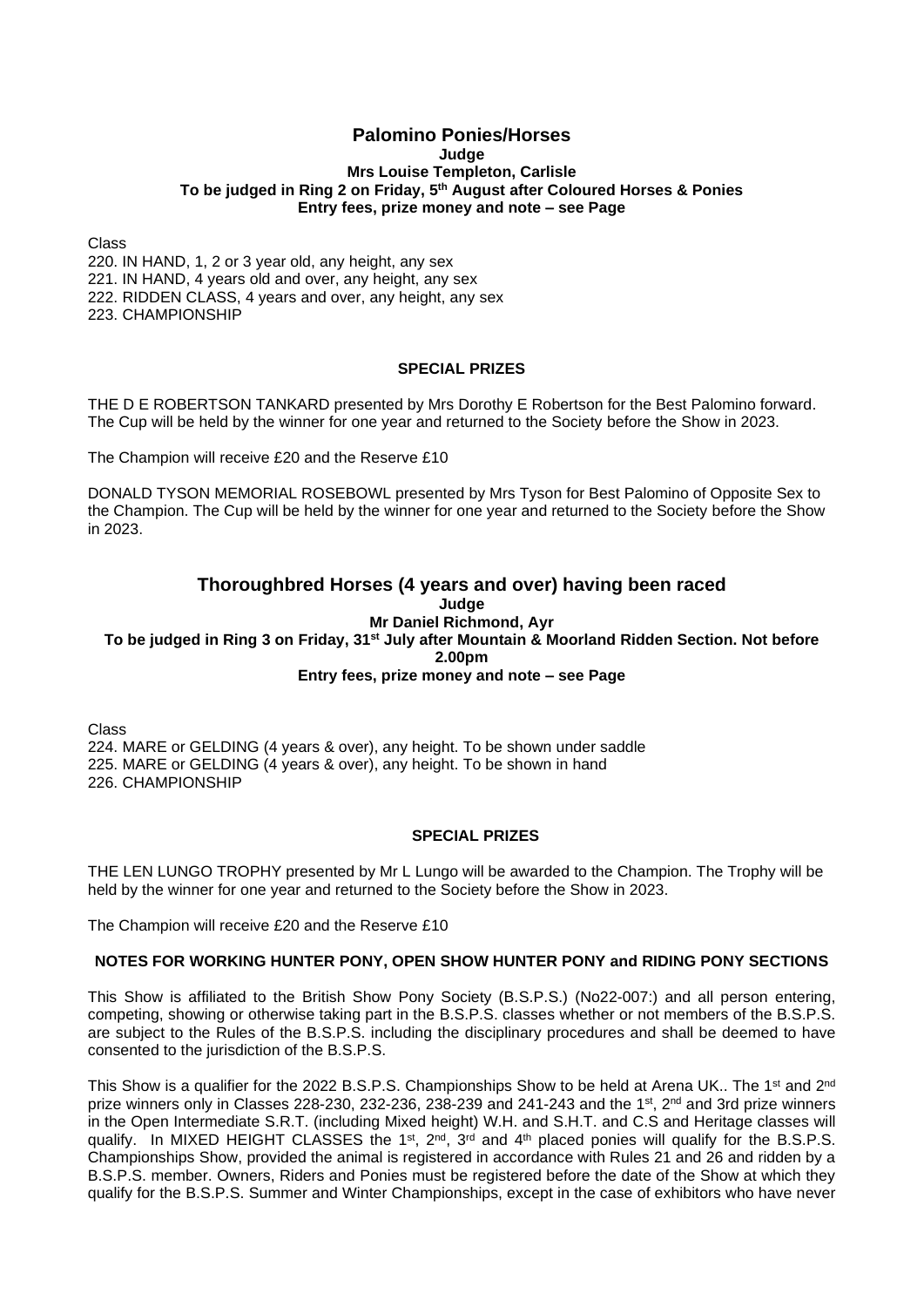#### **Palomino Ponies/Horses Judge Mrs Louise Templeton, Carlisle To be judged in Ring 2 on Friday, 5 th August after Coloured Horses & Ponies Entry fees, prize money and note – see Page**

Class

220. IN HAND, 1, 2 or 3 year old, any height, any sex 221. IN HAND, 4 years old and over, any height, any sex 222. RIDDEN CLASS, 4 years and over, any height, any sex 223. CHAMPIONSHIP

#### **SPECIAL PRIZES**

THE D E ROBERTSON TANKARD presented by Mrs Dorothy E Robertson for the Best Palomino forward. The Cup will be held by the winner for one year and returned to the Society before the Show in 2023.

The Champion will receive £20 and the Reserve £10

DONALD TYSON MEMORIAL ROSEBOWL presented by Mrs Tyson for Best Palomino of Opposite Sex to the Champion. The Cup will be held by the winner for one year and returned to the Society before the Show in 2023.

#### **Thoroughbred Horses (4 years and over) having been raced Judge Mr Daniel Richmond, Ayr To be judged in Ring 3 on Friday, 31st July after Mountain & Moorland Ridden Section. Not before 2.00pm Entry fees, prize money and note – see Page**

Class 224. MARE or GELDING (4 years & over), any height. To be shown under saddle 225. MARE or GELDING (4 years & over), any height. To be shown in hand 226. CHAMPIONSHIP

#### **SPECIAL PRIZES**

THE LEN LUNGO TROPHY presented by Mr L Lungo will be awarded to the Champion. The Trophy will be held by the winner for one year and returned to the Society before the Show in 2023.

The Champion will receive £20 and the Reserve £10

## **NOTES FOR WORKING HUNTER PONY, OPEN SHOW HUNTER PONY and RIDING PONY SECTIONS**

This Show is affiliated to the British Show Pony Society (B.S.P.S.) (No22-007:) and all person entering, competing, showing or otherwise taking part in the B.S.P.S. classes whether or not members of the B.S.P.S. are subject to the Rules of the B.S.P.S. including the disciplinary procedures and shall be deemed to have consented to the jurisdiction of the B.S.P.S.

This Show is a qualifier for the 2022 B.S.P.S. Championships Show to be held at Arena UK.. The 1<sup>st</sup> and 2<sup>nd</sup> prize winners only in Classes 228-230, 232-236, 238-239 and 241-243 and the 1<sup>st</sup>, 2<sup>nd</sup> and 3rd prize winners in the Open Intermediate S.R.T. (including Mixed height) W.H. and S.H.T. and C.S and Heritage classes will qualify. In MIXED HEIGHT CLASSES the 1<sup>st</sup>, 2<sup>nd</sup>, 3<sup>rd</sup> and 4<sup>th</sup> placed ponies will qualify for the B.S.P.S. Championships Show, provided the animal is registered in accordance with Rules 21 and 26 and ridden by a B.S.P.S. member. Owners, Riders and Ponies must be registered before the date of the Show at which they qualify for the B.S.P.S. Summer and Winter Championships, except in the case of exhibitors who have never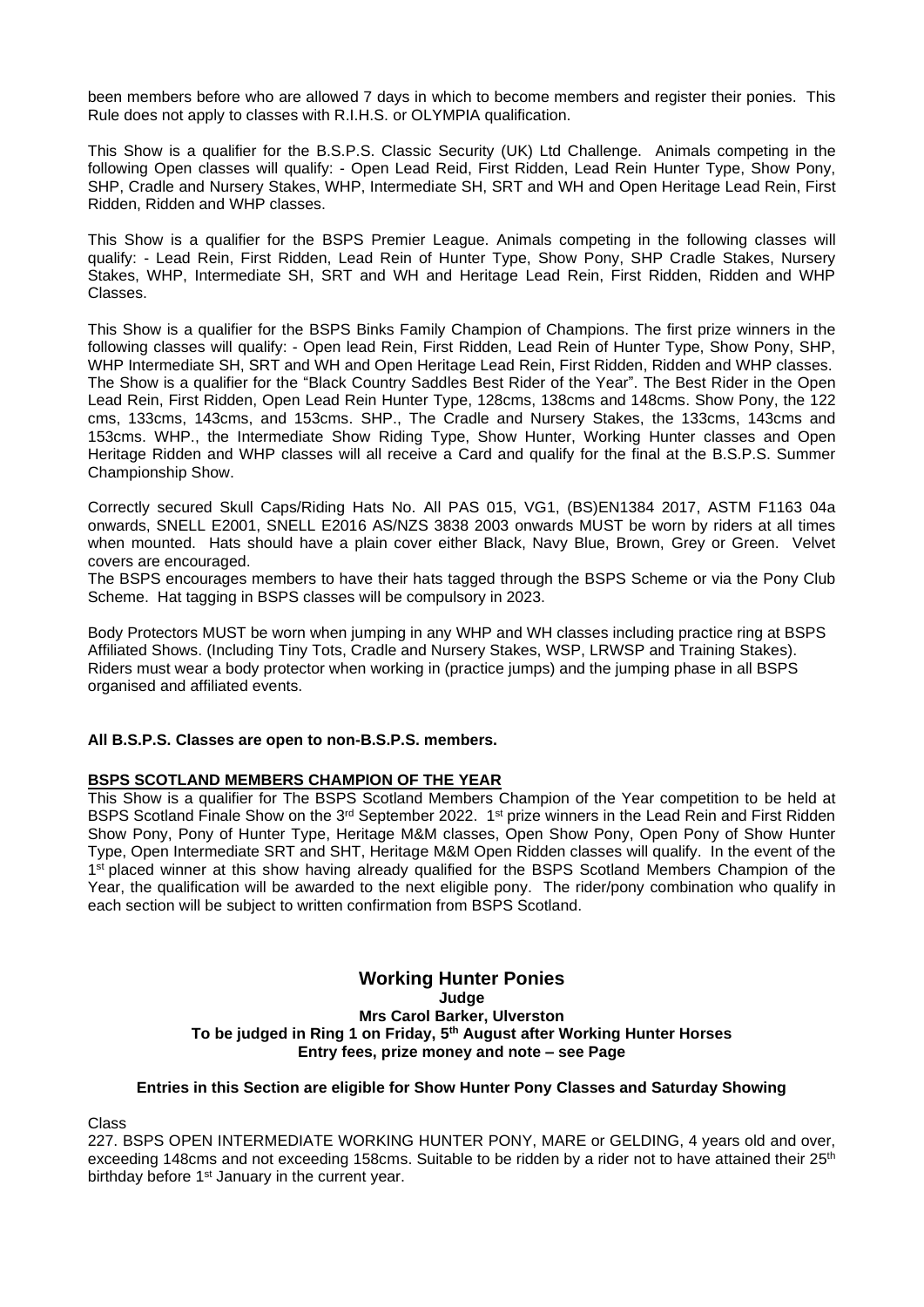been members before who are allowed 7 days in which to become members and register their ponies. This Rule does not apply to classes with R.I.H.S. or OLYMPIA qualification.

This Show is a qualifier for the B.S.P.S. Classic Security (UK) Ltd Challenge. Animals competing in the following Open classes will qualify: - Open Lead Reid, First Ridden, Lead Rein Hunter Type, Show Pony, SHP, Cradle and Nursery Stakes, WHP, Intermediate SH, SRT and WH and Open Heritage Lead Rein, First Ridden, Ridden and WHP classes.

This Show is a qualifier for the BSPS Premier League. Animals competing in the following classes will qualify: - Lead Rein, First Ridden, Lead Rein of Hunter Type, Show Pony, SHP Cradle Stakes, Nursery Stakes, WHP, Intermediate SH, SRT and WH and Heritage Lead Rein, First Ridden, Ridden and WHP Classes.

This Show is a qualifier for the BSPS Binks Family Champion of Champions. The first prize winners in the following classes will qualify: - Open lead Rein, First Ridden, Lead Rein of Hunter Type, Show Pony, SHP, WHP Intermediate SH, SRT and WH and Open Heritage Lead Rein, First Ridden, Ridden and WHP classes. The Show is a qualifier for the "Black Country Saddles Best Rider of the Year". The Best Rider in the Open Lead Rein, First Ridden, Open Lead Rein Hunter Type, 128cms, 138cms and 148cms. Show Pony, the 122 cms, 133cms, 143cms, and 153cms. SHP., The Cradle and Nursery Stakes, the 133cms, 143cms and 153cms. WHP., the Intermediate Show Riding Type, Show Hunter, Working Hunter classes and Open Heritage Ridden and WHP classes will all receive a Card and qualify for the final at the B.S.P.S. Summer Championship Show.

Correctly secured Skull Caps/Riding Hats No. All PAS 015, VG1, (BS)EN1384 2017, ASTM F1163 04a onwards, SNELL E2001, SNELL E2016 AS/NZS 3838 2003 onwards MUST be worn by riders at all times when mounted. Hats should have a plain cover either Black, Navy Blue, Brown, Grey or Green. Velvet covers are encouraged.

The BSPS encourages members to have their hats tagged through the BSPS Scheme or via the Pony Club Scheme. Hat tagging in BSPS classes will be compulsory in 2023.

Body Protectors MUST be worn when jumping in any WHP and WH classes including practice ring at BSPS Affiliated Shows. (Including Tiny Tots, Cradle and Nursery Stakes, WSP, LRWSP and Training Stakes). Riders must wear a body protector when working in (practice jumps) and the jumping phase in all BSPS organised and affiliated events.

## **All B.S.P.S. Classes are open to non-B.S.P.S. members.**

#### **BSPS SCOTLAND MEMBERS CHAMPION OF THE YEAR**

This Show is a qualifier for The BSPS Scotland Members Champion of the Year competition to be held at BSPS Scotland Finale Show on the 3<sup>rd</sup> September 2022. 1<sup>st</sup> prize winners in the Lead Rein and First Ridden Show Pony, Pony of Hunter Type, Heritage M&M classes, Open Show Pony, Open Pony of Show Hunter Type, Open Intermediate SRT and SHT, Heritage M&M Open Ridden classes will qualify. In the event of the 1<sup>st</sup> placed winner at this show having already qualified for the BSPS Scotland Members Champion of the Year, the qualification will be awarded to the next eligible pony. The rider/pony combination who qualify in each section will be subject to written confirmation from BSPS Scotland.

#### **Working Hunter Ponies Judge Mrs Carol Barker, Ulverston To be judged in Ring 1 on Friday, 5 th August after Working Hunter Horses Entry fees, prize money and note – see Page**

#### **Entries in this Section are eligible for Show Hunter Pony Classes and Saturday Showing**

Class

227. BSPS OPEN INTERMEDIATE WORKING HUNTER PONY, MARE or GELDING, 4 years old and over, exceeding 148cms and not exceeding 158cms. Suitable to be ridden by a rider not to have attained their 25<sup>th</sup> birthday before 1<sup>st</sup> January in the current year.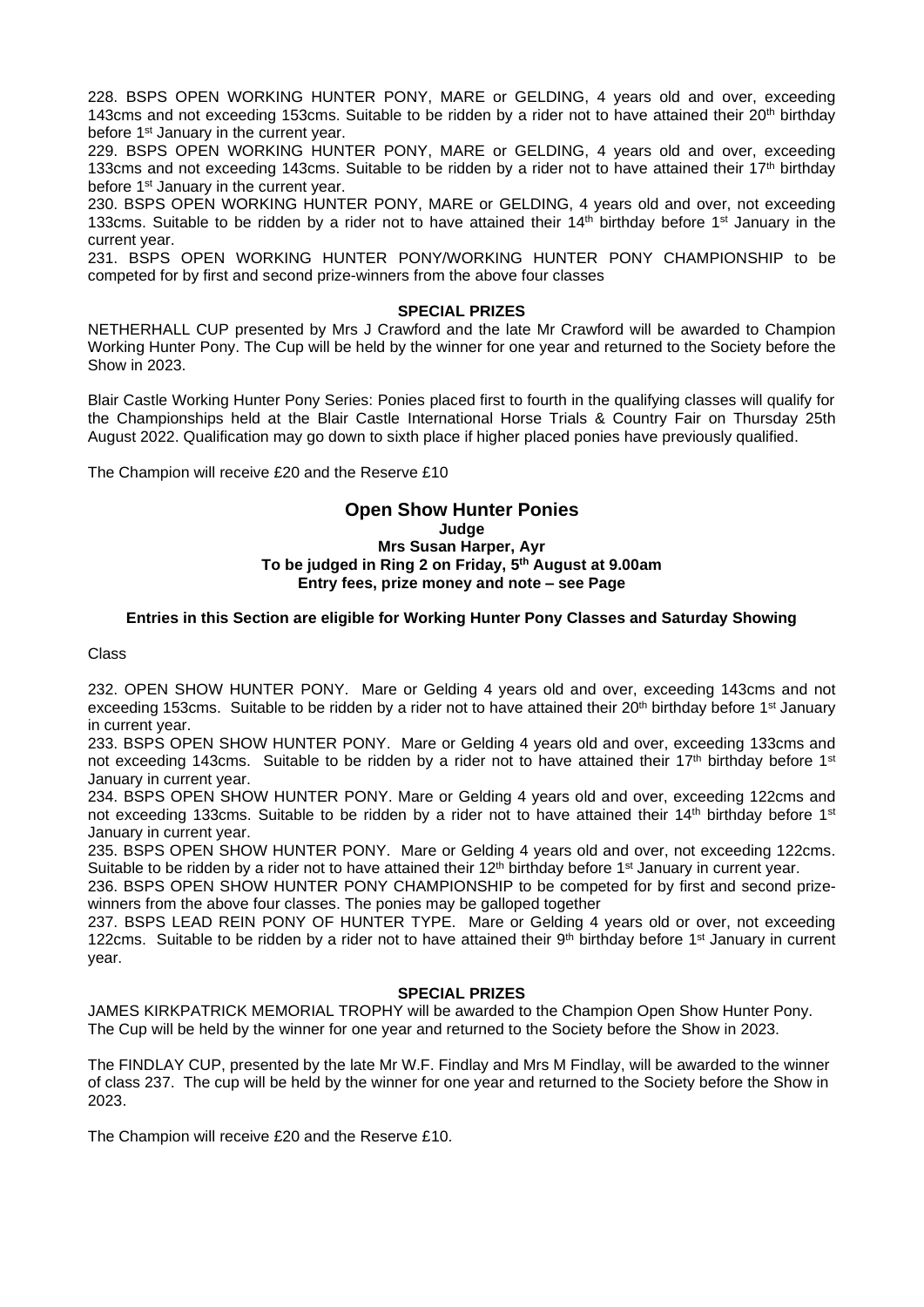228. BSPS OPEN WORKING HUNTER PONY, MARE or GELDING, 4 years old and over, exceeding 143cms and not exceeding 153cms. Suitable to be ridden by a rider not to have attained their 20<sup>th</sup> birthday before 1<sup>st</sup> January in the current year.

229. BSPS OPEN WORKING HUNTER PONY, MARE or GELDING, 4 years old and over, exceeding 133cms and not exceeding 143cms. Suitable to be ridden by a rider not to have attained their 17<sup>th</sup> birthday before 1<sup>st</sup> January in the current year.

230. BSPS OPEN WORKING HUNTER PONY, MARE or GELDING, 4 years old and over, not exceeding 133cms. Suitable to be ridden by a rider not to have attained their 14th birthday before 1<sup>st</sup> January in the current year.

231. BSPS OPEN WORKING HUNTER PONY/WORKING HUNTER PONY CHAMPIONSHIP to be competed for by first and second prize-winners from the above four classes

#### **SPECIAL PRIZES**

NETHERHALL CUP presented by Mrs J Crawford and the late Mr Crawford will be awarded to Champion Working Hunter Pony. The Cup will be held by the winner for one year and returned to the Society before the Show in 2023.

Blair Castle Working Hunter Pony Series: Ponies placed first to fourth in the qualifying classes will qualify for the Championships held at the Blair Castle International Horse Trials & Country Fair on Thursday 25th August 2022. Qualification may go down to sixth place if higher placed ponies have previously qualified.

The Champion will receive £20 and the Reserve £10

## **Open Show Hunter Ponies Judge Mrs Susan Harper, Ayr To be judged in Ring 2 on Friday, 5 th August at 9.00am Entry fees, prize money and note – see Page**

## **Entries in this Section are eligible for Working Hunter Pony Classes and Saturday Showing**

Class

232. OPEN SHOW HUNTER PONY. Mare or Gelding 4 years old and over, exceeding 143cms and not exceeding 153cms. Suitable to be ridden by a rider not to have attained their 20<sup>th</sup> birthday before 1<sup>st</sup> January in current year.

233. BSPS OPEN SHOW HUNTER PONY. Mare or Gelding 4 years old and over, exceeding 133cms and not exceeding 143cms. Suitable to be ridden by a rider not to have attained their 17<sup>th</sup> birthday before 1<sup>st</sup> January in current year.

234. BSPS OPEN SHOW HUNTER PONY. Mare or Gelding 4 years old and over, exceeding 122cms and not exceeding 133cms. Suitable to be ridden by a rider not to have attained their 14<sup>th</sup> birthday before 1<sup>st</sup> January in current year.

235. BSPS OPEN SHOW HUNTER PONY. Mare or Gelding 4 years old and over, not exceeding 122cms. Suitable to be ridden by a rider not to have attained their  $12<sup>th</sup>$  birthday before 1<sup>st</sup> January in current year.

236. BSPS OPEN SHOW HUNTER PONY CHAMPIONSHIP to be competed for by first and second prizewinners from the above four classes. The ponies may be galloped together

237. BSPS LEAD REIN PONY OF HUNTER TYPE. Mare or Gelding 4 years old or over, not exceeding 122cms. Suitable to be ridden by a rider not to have attained their  $9<sup>th</sup>$  birthday before 1<sup>st</sup> January in current year.

#### **SPECIAL PRIZES**

JAMES KIRKPATRICK MEMORIAL TROPHY will be awarded to the Champion Open Show Hunter Pony. The Cup will be held by the winner for one year and returned to the Society before the Show in 2023.

The FINDLAY CUP, presented by the late Mr W.F. Findlay and Mrs M Findlay, will be awarded to the winner of class 237. The cup will be held by the winner for one year and returned to the Society before the Show in 2023.

The Champion will receive £20 and the Reserve £10.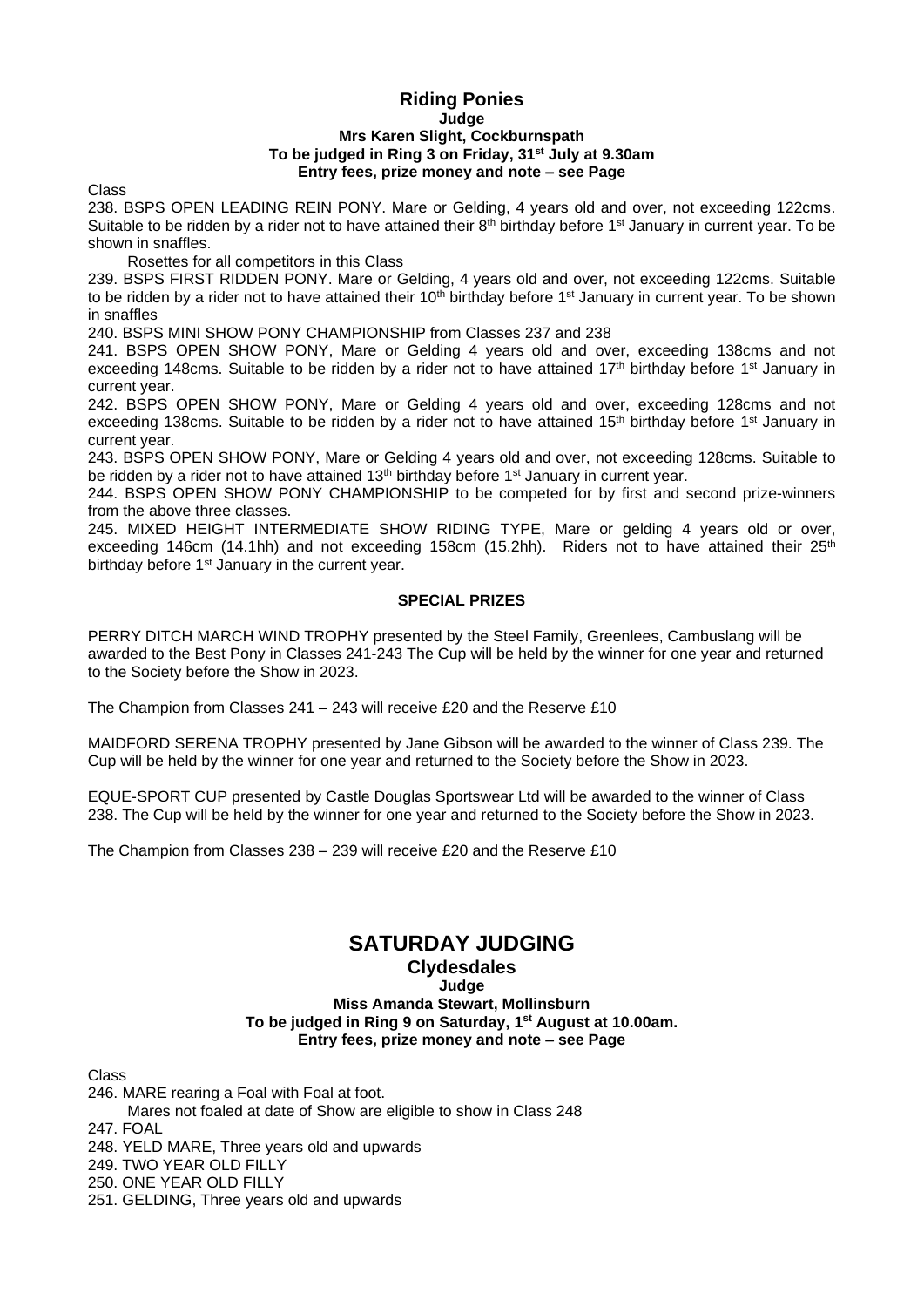## **Riding Ponies Judge Mrs Karen Slight, Cockburnspath To be judged in Ring 3 on Friday, 31st July at 9.30am Entry fees, prize money and note – see Page**

Class

238. BSPS OPEN LEADING REIN PONY. Mare or Gelding, 4 years old and over, not exceeding 122cms. Suitable to be ridden by a rider not to have attained their  $8<sup>th</sup>$  birthday before 1<sup>st</sup> January in current year. To be shown in snaffles.

Rosettes for all competitors in this Class

239. BSPS FIRST RIDDEN PONY. Mare or Gelding, 4 years old and over, not exceeding 122cms. Suitable to be ridden by a rider not to have attained their 10<sup>th</sup> birthday before 1<sup>st</sup> January in current year. To be shown in snaffles

240. BSPS MINI SHOW PONY CHAMPIONSHIP from Classes 237 and 238

241. BSPS OPEN SHOW PONY, Mare or Gelding 4 years old and over, exceeding 138cms and not exceeding 148cms. Suitable to be ridden by a rider not to have attained 17<sup>th</sup> birthday before 1<sup>st</sup> January in current year.

242. BSPS OPEN SHOW PONY, Mare or Gelding 4 years old and over, exceeding 128cms and not exceeding 138cms. Suitable to be ridden by a rider not to have attained 15<sup>th</sup> birthday before 1<sup>st</sup> January in current year.

243. BSPS OPEN SHOW PONY, Mare or Gelding 4 years old and over, not exceeding 128cms. Suitable to be ridden by a rider not to have attained 13<sup>th</sup> birthday before 1<sup>st</sup> January in current year.

244. BSPS OPEN SHOW PONY CHAMPIONSHIP to be competed for by first and second prize-winners from the above three classes.

245. MIXED HEIGHT INTERMEDIATE SHOW RIDING TYPE, Mare or gelding 4 years old or over, exceeding 146cm (14.1hh) and not exceeding 158cm (15.2hh). Riders not to have attained their 25<sup>th</sup> birthday before 1<sup>st</sup> January in the current year.

## **SPECIAL PRIZES**

PERRY DITCH MARCH WIND TROPHY presented by the Steel Family, Greenlees, Cambuslang will be awarded to the Best Pony in Classes 241-243 The Cup will be held by the winner for one year and returned to the Society before the Show in 2023.

The Champion from Classes 241 – 243 will receive £20 and the Reserve £10

MAIDFORD SERENA TROPHY presented by Jane Gibson will be awarded to the winner of Class 239. The Cup will be held by the winner for one year and returned to the Society before the Show in 2023.

EQUE-SPORT CUP presented by Castle Douglas Sportswear Ltd will be awarded to the winner of Class 238. The Cup will be held by the winner for one year and returned to the Society before the Show in 2023.

The Champion from Classes 238 – 239 will receive £20 and the Reserve £10

# **SATURDAY JUDGING**

## **Clydesdales**

## **Judge**

**Miss Amanda Stewart, Mollinsburn To be judged in Ring 9 on Saturday, 1 st August at 10.00am. Entry fees, prize money and note – see Page**

Class

246. MARE rearing a Foal with Foal at foot. Mares not foaled at date of Show are eligible to show in Class 248 247. FOAL 248. YELD MARE, Three years old and upwards 249. TWO YEAR OLD FILLY 250. ONE YEAR OLD FILLY

251. GELDING, Three years old and upwards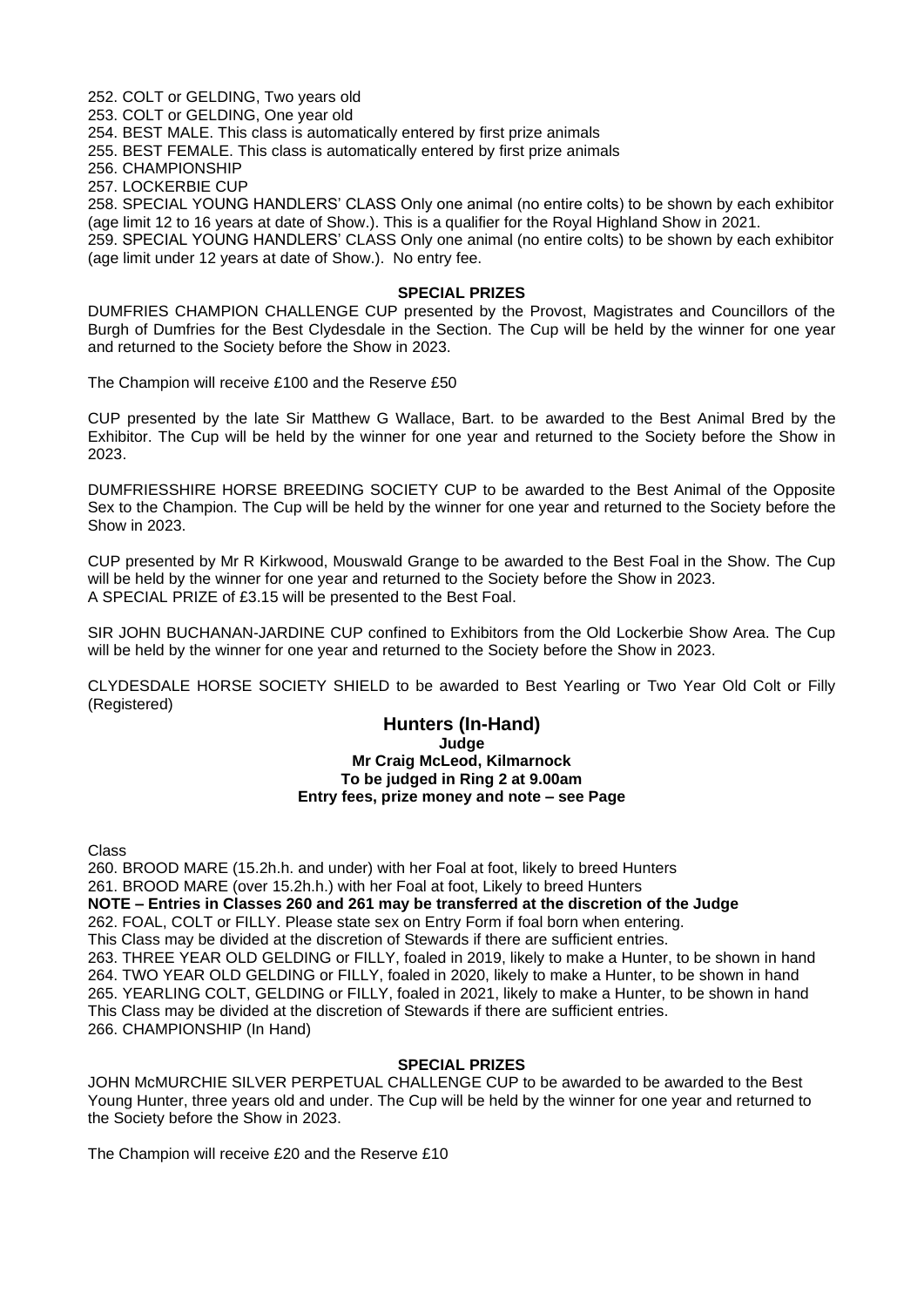252. COLT or GELDING, Two years old 253. COLT or GELDING, One year old 254. BEST MALE. This class is automatically entered by first prize animals

255. BEST FEMALE. This class is automatically entered by first prize animals

256. CHAMPIONSHIP

257. LOCKERBIE CUP

258. SPECIAL YOUNG HANDLERS' CLASS Only one animal (no entire colts) to be shown by each exhibitor (age limit 12 to 16 years at date of Show.). This is a qualifier for the Royal Highland Show in 2021.

259. SPECIAL YOUNG HANDLERS' CLASS Only one animal (no entire colts) to be shown by each exhibitor (age limit under 12 years at date of Show.). No entry fee.

#### **SPECIAL PRIZES**

DUMFRIES CHAMPION CHALLENGE CUP presented by the Provost, Magistrates and Councillors of the Burgh of Dumfries for the Best Clydesdale in the Section. The Cup will be held by the winner for one year and returned to the Society before the Show in 2023.

The Champion will receive £100 and the Reserve £50

CUP presented by the late Sir Matthew G Wallace, Bart. to be awarded to the Best Animal Bred by the Exhibitor. The Cup will be held by the winner for one year and returned to the Society before the Show in 2023.

DUMFRIESSHIRE HORSE BREEDING SOCIETY CUP to be awarded to the Best Animal of the Opposite Sex to the Champion. The Cup will be held by the winner for one year and returned to the Society before the Show in 2023.

CUP presented by Mr R Kirkwood, Mouswald Grange to be awarded to the Best Foal in the Show. The Cup will be held by the winner for one year and returned to the Society before the Show in 2023. A SPECIAL PRIZE of £3.15 will be presented to the Best Foal.

SIR JOHN BUCHANAN-JARDINE CUP confined to Exhibitors from the Old Lockerbie Show Area. The Cup will be held by the winner for one year and returned to the Society before the Show in 2023.

CLYDESDALE HORSE SOCIETY SHIELD to be awarded to Best Yearling or Two Year Old Colt or Filly (Registered)

#### **Hunters (In-Hand) Judge Mr Craig McLeod, Kilmarnock To be judged in Ring 2 at 9.00am Entry fees, prize money and note – see Page**

Class

260. BROOD MARE (15.2h.h. and under) with her Foal at foot, likely to breed Hunters 261. BROOD MARE (over 15.2h.h.) with her Foal at foot, Likely to breed Hunters **NOTE – Entries in Classes 260 and 261 may be transferred at the discretion of the Judge** 262. FOAL, COLT or FILLY. Please state sex on Entry Form if foal born when entering. This Class may be divided at the discretion of Stewards if there are sufficient entries. 263. THREE YEAR OLD GELDING or FILLY, foaled in 2019, likely to make a Hunter, to be shown in hand 264. TWO YEAR OLD GELDING or FILLY, foaled in 2020, likely to make a Hunter, to be shown in hand 265. YEARLING COLT, GELDING or FILLY, foaled in 2021, likely to make a Hunter, to be shown in hand This Class may be divided at the discretion of Stewards if there are sufficient entries. 266. CHAMPIONSHIP (In Hand)

## **SPECIAL PRIZES**

JOHN McMURCHIE SILVER PERPETUAL CHALLENGE CUP to be awarded to be awarded to the Best Young Hunter, three years old and under. The Cup will be held by the winner for one year and returned to the Society before the Show in 2023.

The Champion will receive £20 and the Reserve £10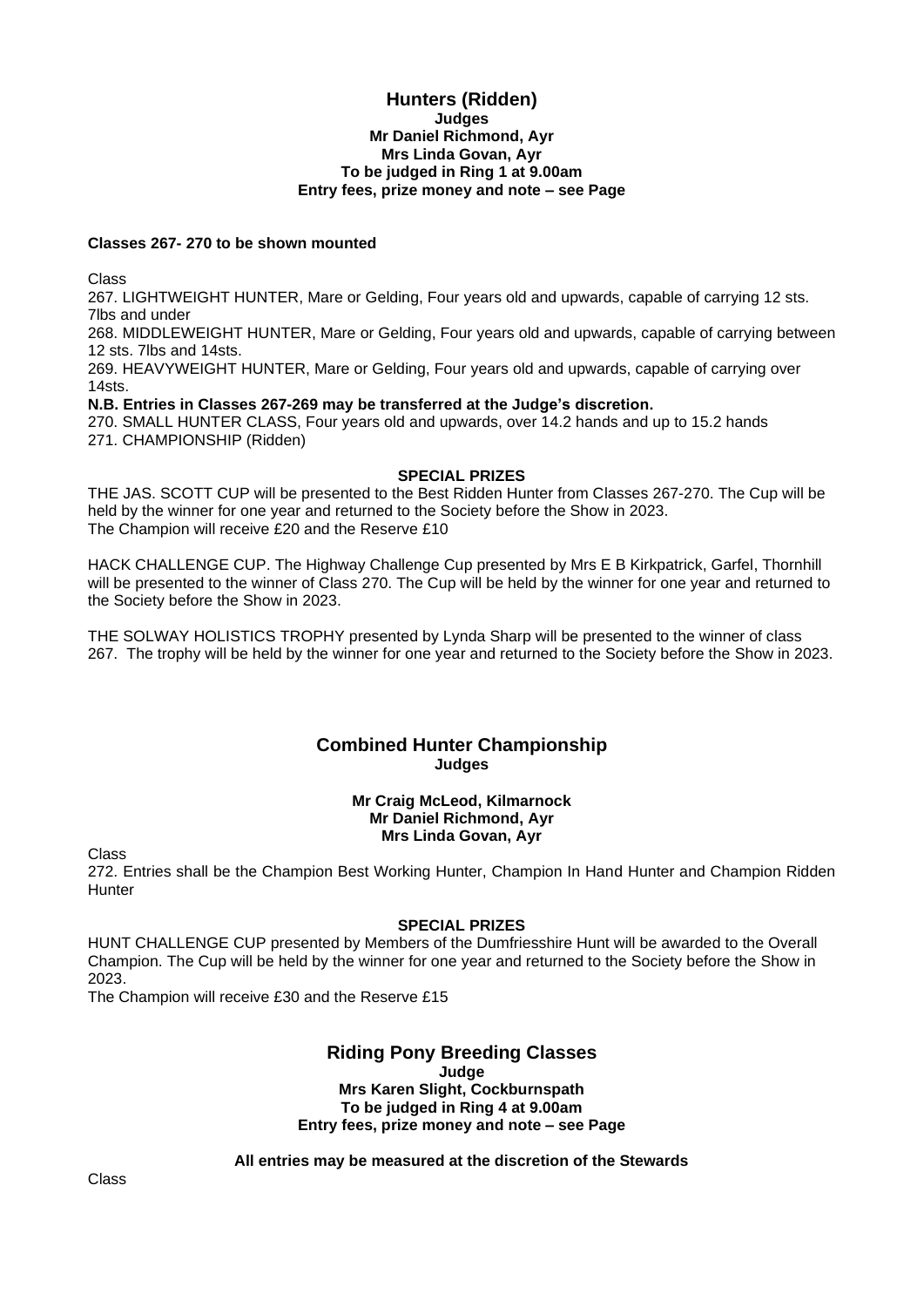## **Hunters (Ridden) Judges Mr Daniel Richmond, Ayr Mrs Linda Govan, Ayr To be judged in Ring 1 at 9.00am Entry fees, prize money and note – see Page**

## **Classes 267- 270 to be shown mounted**

Class

267. LIGHTWEIGHT HUNTER, Mare or Gelding, Four years old and upwards, capable of carrying 12 sts. 7lbs and under

268. MIDDLEWEIGHT HUNTER, Mare or Gelding, Four years old and upwards, capable of carrying between 12 sts. 7lbs and 14sts.

269. HEAVYWEIGHT HUNTER, Mare or Gelding, Four years old and upwards, capable of carrying over 14sts.

**N.B. Entries in Classes 267-269 may be transferred at the Judge's discretion.**

270. SMALL HUNTER CLASS, Four years old and upwards, over 14.2 hands and up to 15.2 hands 271. CHAMPIONSHIP (Ridden)

#### **SPECIAL PRIZES**

THE JAS. SCOTT CUP will be presented to the Best Ridden Hunter from Classes 267-270. The Cup will be held by the winner for one year and returned to the Society before the Show in 2023. The Champion will receive £20 and the Reserve £10

HACK CHALLENGE CUP. The Highway Challenge Cup presented by Mrs E B Kirkpatrick, Garfel, Thornhill will be presented to the winner of Class 270. The Cup will be held by the winner for one year and returned to the Society before the Show in 2023.

THE SOLWAY HOLISTICS TROPHY presented by Lynda Sharp will be presented to the winner of class 267. The trophy will be held by the winner for one year and returned to the Society before the Show in 2023.

## **Combined Hunter Championship Judges**

#### **Mr Craig McLeod, Kilmarnock Mr Daniel Richmond, Ayr Mrs Linda Govan, Ayr**

Class

272. Entries shall be the Champion Best Working Hunter, Champion In Hand Hunter and Champion Ridden **Hunter** 

## **SPECIAL PRIZES**

HUNT CHALLENGE CUP presented by Members of the Dumfriesshire Hunt will be awarded to the Overall Champion. The Cup will be held by the winner for one year and returned to the Society before the Show in 2023.

The Champion will receive £30 and the Reserve £15

## **Riding Pony Breeding Classes Judge**

**Mrs Karen Slight, Cockburnspath To be judged in Ring 4 at 9.00am Entry fees, prize money and note – see Page**

**All entries may be measured at the discretion of the Stewards**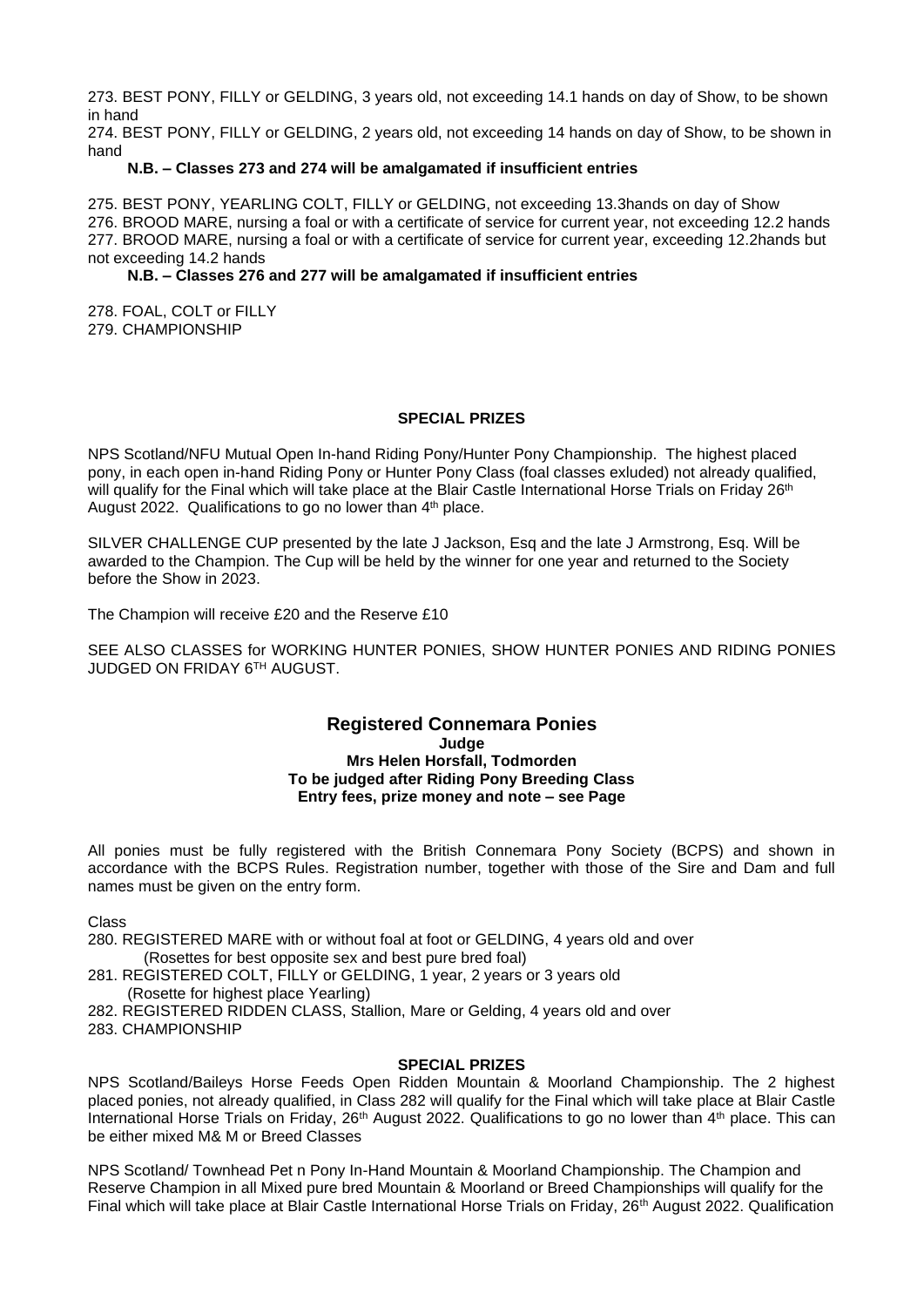273. BEST PONY, FILLY or GELDING, 3 years old, not exceeding 14.1 hands on day of Show, to be shown in hand

274. BEST PONY, FILLY or GELDING, 2 years old, not exceeding 14 hands on day of Show, to be shown in hand

## **N.B. – Classes 273 and 274 will be amalgamated if insufficient entries**

275. BEST PONY, YEARLING COLT, FILLY or GELDING, not exceeding 13.3hands on day of Show 276. BROOD MARE, nursing a foal or with a certificate of service for current year, not exceeding 12.2 hands 277. BROOD MARE, nursing a foal or with a certificate of service for current year, exceeding 12.2hands but not exceeding 14.2 hands

#### **N.B. – Classes 276 and 277 will be amalgamated if insufficient entries**

278. FOAL, COLT or FILLY 279. CHAMPIONSHIP

## **SPECIAL PRIZES**

NPS Scotland/NFU Mutual Open In-hand Riding Pony/Hunter Pony Championship. The highest placed pony, in each open in-hand Riding Pony or Hunter Pony Class (foal classes exluded) not already qualified, will qualify for the Final which will take place at the Blair Castle International Horse Trials on Friday 26<sup>th</sup> August 2022. Qualifications to go no lower than 4<sup>th</sup> place.

SILVER CHALLENGE CUP presented by the late J Jackson, Esq and the late J Armstrong, Esq. Will be awarded to the Champion. The Cup will be held by the winner for one year and returned to the Society before the Show in 2023.

The Champion will receive £20 and the Reserve £10

SEE ALSO CLASSES for WORKING HUNTER PONIES, SHOW HUNTER PONIES AND RIDING PONIES JUDGED ON FRIDAY 6 TH AUGUST.

#### **Registered Connemara Ponies Judge Mrs Helen Horsfall, Todmorden To be judged after Riding Pony Breeding Class Entry fees, prize money and note – see Page**

All ponies must be fully registered with the British Connemara Pony Society (BCPS) and shown in accordance with the BCPS Rules. Registration number, together with those of the Sire and Dam and full names must be given on the entry form.

Class

- 280. REGISTERED MARE with or without foal at foot or GELDING, 4 years old and over (Rosettes for best opposite sex and best pure bred foal)
- 281. REGISTERED COLT, FILLY or GELDING, 1 year, 2 years or 3 years old (Rosette for highest place Yearling)
- 282. REGISTERED RIDDEN CLASS, Stallion, Mare or Gelding, 4 years old and over 283. CHAMPIONSHIP

#### **SPECIAL PRIZES**

NPS Scotland/Baileys Horse Feeds Open Ridden Mountain & Moorland Championship. The 2 highest placed ponies, not already qualified, in Class 282 will qualify for the Final which will take place at Blair Castle International Horse Trials on Friday, 26<sup>th</sup> August 2022. Qualifications to go no lower than 4<sup>th</sup> place. This can be either mixed M& M or Breed Classes

NPS Scotland/ Townhead Pet n Pony In-Hand Mountain & Moorland Championship. The Champion and Reserve Champion in all Mixed pure bred Mountain & Moorland or Breed Championships will qualify for the Final which will take place at Blair Castle International Horse Trials on Friday, 26<sup>th</sup> August 2022. Qualification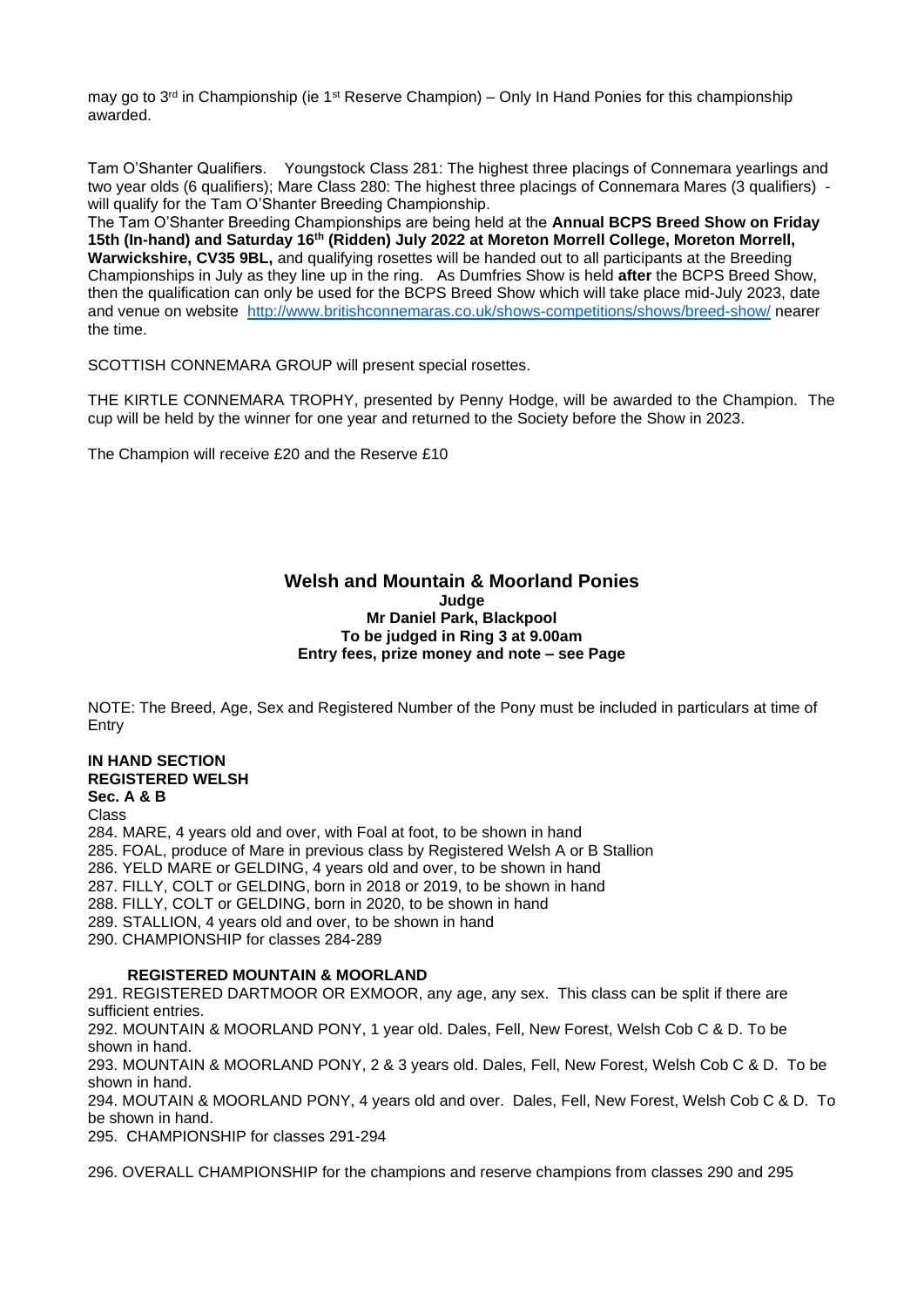may go to  $3<sup>rd</sup>$  in Championship (ie 1<sup>st</sup> Reserve Champion) – Only In Hand Ponies for this championship awarded.

Tam O'Shanter Qualifiers. Youngstock Class 281: The highest three placings of Connemara yearlings and two year olds (6 qualifiers); Mare Class 280: The highest three placings of Connemara Mares (3 qualifiers) will qualify for the Tam O'Shanter Breeding Championship.

The Tam O'Shanter Breeding Championships are being held at the **Annual BCPS Breed Show on Friday 15th (In-hand) and Saturday 16th (Ridden) July 2022 at Moreton Morrell College, Moreton Morrell, Warwickshire, CV35 9BL,** and qualifying rosettes will be handed out to all participants at the Breeding Championships in July as they line up in the ring. As Dumfries Show is held **after** the BCPS Breed Show, then the qualification can only be used for the BCPS Breed Show which will take place mid-July 2023, date and venue on website <http://www.britishconnemaras.co.uk/shows-competitions/shows/breed-show/> nearer the time.

SCOTTISH CONNEMARA GROUP will present special rosettes.

THE KIRTLE CONNEMARA TROPHY, presented by Penny Hodge, will be awarded to the Champion. The cup will be held by the winner for one year and returned to the Society before the Show in 2023.

The Champion will receive £20 and the Reserve £10

#### **Welsh and Mountain & Moorland Ponies Judge Mr Daniel Park, Blackpool To be judged in Ring 3 at 9.00am Entry fees, prize money and note – see Page**

NOTE: The Breed, Age, Sex and Registered Number of the Pony must be included in particulars at time of Entry

#### **IN HAND SECTION REGISTERED WELSH Sec. A & B**

Class

284. MARE, 4 years old and over, with Foal at foot, to be shown in hand 285. FOAL, produce of Mare in previous class by Registered Welsh A or B Stallion 286. YELD MARE or GELDING, 4 years old and over, to be shown in hand 287. FILLY, COLT or GELDING, born in 2018 or 2019, to be shown in hand 288. FILLY, COLT or GELDING, born in 2020, to be shown in hand 289. STALLION, 4 years old and over, to be shown in hand 290. CHAMPIONSHIP for classes 284-289

#### **REGISTERED MOUNTAIN & MOORLAND**

291. REGISTERED DARTMOOR OR EXMOOR, any age, any sex. This class can be split if there are sufficient entries.

292. MOUNTAIN & MOORLAND PONY, 1 year old. Dales, Fell, New Forest, Welsh Cob C & D. To be shown in hand.

293. MOUNTAIN & MOORLAND PONY, 2 & 3 years old. Dales, Fell, New Forest, Welsh Cob C & D. To be shown in hand.

294. MOUTAIN & MOORLAND PONY, 4 years old and over. Dales, Fell, New Forest, Welsh Cob C & D. To be shown in hand.

295. CHAMPIONSHIP for classes 291-294

296. OVERALL CHAMPIONSHIP for the champions and reserve champions from classes 290 and 295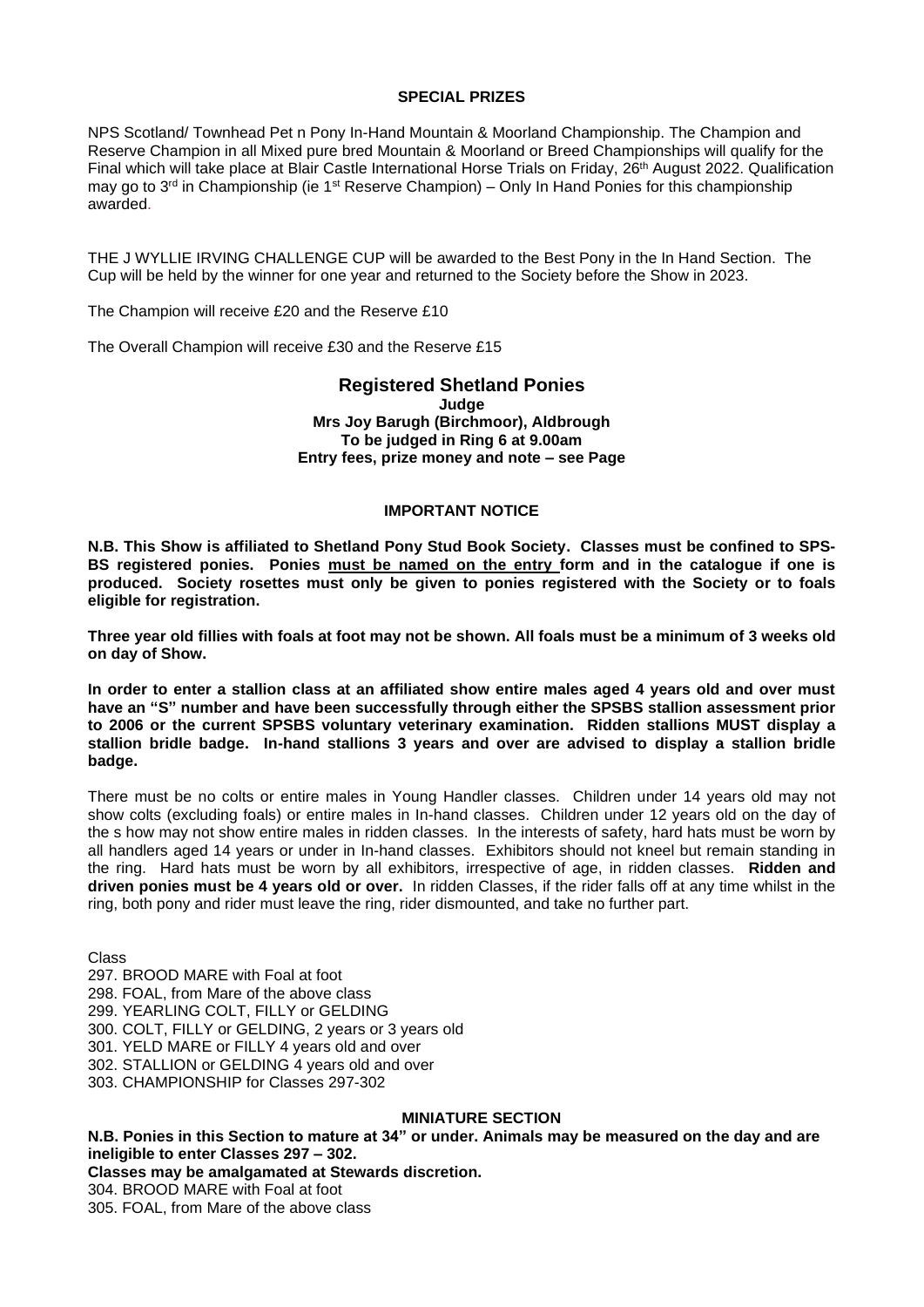#### **SPECIAL PRIZES**

NPS Scotland/ Townhead Pet n Pony In-Hand Mountain & Moorland Championship. The Champion and Reserve Champion in all Mixed pure bred Mountain & Moorland or Breed Championships will qualify for the Final which will take place at Blair Castle International Horse Trials on Friday, 26<sup>th</sup> August 2022. Qualification may go to 3<sup>rd</sup> in Championship (ie 1<sup>st</sup> Reserve Champion) – Only In Hand Ponies for this championship awarded.

THE J WYLLIE IRVING CHALLENGE CUP will be awarded to the Best Pony in the In Hand Section. The Cup will be held by the winner for one year and returned to the Society before the Show in 2023.

The Champion will receive £20 and the Reserve £10

The Overall Champion will receive £30 and the Reserve £15

## **Registered Shetland Ponies Judge Mrs Joy Barugh (Birchmoor), Aldbrough To be judged in Ring 6 at 9.00am Entry fees, prize money and note – see Page**

## **IMPORTANT NOTICE**

**N.B. This Show is affiliated to Shetland Pony Stud Book Society. Classes must be confined to SPS-BS registered ponies. Ponies must be named on the entry form and in the catalogue if one is produced. Society rosettes must only be given to ponies registered with the Society or to foals eligible for registration.** 

**Three year old fillies with foals at foot may not be shown. All foals must be a minimum of 3 weeks old on day of Show.** 

**In order to enter a stallion class at an affiliated show entire males aged 4 years old and over must have an "S" number and have been successfully through either the SPSBS stallion assessment prior to 2006 or the current SPSBS voluntary veterinary examination. Ridden stallions MUST display a stallion bridle badge. In-hand stallions 3 years and over are advised to display a stallion bridle badge.**

There must be no colts or entire males in Young Handler classes. Children under 14 years old may not show colts (excluding foals) or entire males in In-hand classes. Children under 12 years old on the day of the s how may not show entire males in ridden classes. In the interests of safety, hard hats must be worn by all handlers aged 14 years or under in In-hand classes. Exhibitors should not kneel but remain standing in the ring. Hard hats must be worn by all exhibitors, irrespective of age, in ridden classes. **Ridden and driven ponies must be 4 years old or over.** In ridden Classes, if the rider falls off at any time whilst in the ring, both pony and rider must leave the ring, rider dismounted, and take no further part.

Class

297. BROOD MARE with Foal at foot 298. FOAL, from Mare of the above class 299. YEARLING COLT, FILLY or GELDING 300. COLT, FILLY or GELDING, 2 years or 3 years old 301. YELD MARE or FILLY 4 years old and over 302. STALLION or GELDING 4 years old and over 303. CHAMPIONSHIP for Classes 297-302

## **MINIATURE SECTION**

**N.B. Ponies in this Section to mature at 34" or under. Animals may be measured on the day and are ineligible to enter Classes 297 – 302. Classes may be amalgamated at Stewards discretion.**

304. BROOD MARE with Foal at foot 305. FOAL, from Mare of the above class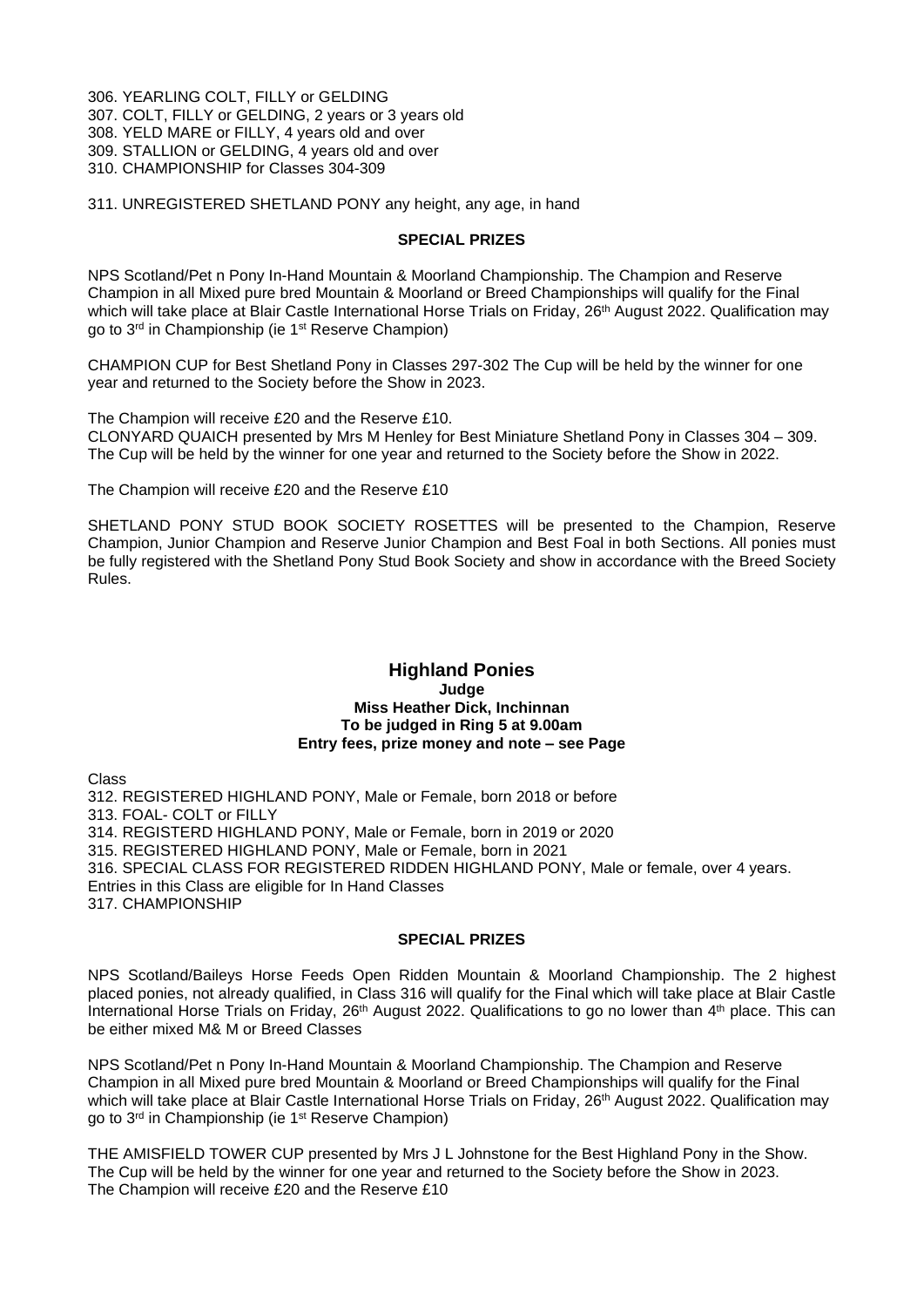306. YEARLING COLT, FILLY or GELDING 307. COLT, FILLY or GELDING, 2 years or 3 years old 308. YELD MARE or FILLY, 4 years old and over 309. STALLION or GELDING, 4 years old and over

310. CHAMPIONSHIP for Classes 304-309

311. UNREGISTERED SHETLAND PONY any height, any age, in hand

#### **SPECIAL PRIZES**

NPS Scotland/Pet n Pony In-Hand Mountain & Moorland Championship. The Champion and Reserve Champion in all Mixed pure bred Mountain & Moorland or Breed Championships will qualify for the Final which will take place at Blair Castle International Horse Trials on Friday, 26<sup>th</sup> August 2022. Qualification may go to 3rd in Championship (ie 1st Reserve Champion)

CHAMPION CUP for Best Shetland Pony in Classes 297-302 The Cup will be held by the winner for one year and returned to the Society before the Show in 2023.

The Champion will receive £20 and the Reserve £10.

CLONYARD QUAICH presented by Mrs M Henley for Best Miniature Shetland Pony in Classes 304 – 309. The Cup will be held by the winner for one year and returned to the Society before the Show in 2022.

The Champion will receive £20 and the Reserve £10

SHETLAND PONY STUD BOOK SOCIETY ROSETTES will be presented to the Champion, Reserve Champion, Junior Champion and Reserve Junior Champion and Best Foal in both Sections. All ponies must be fully registered with the Shetland Pony Stud Book Society and show in accordance with the Breed Society Rules.

#### **Highland Ponies Judge Miss Heather Dick, Inchinnan To be judged in Ring 5 at 9.00am Entry fees, prize money and note – see Page**

Class

312. REGISTERED HIGHLAND PONY, Male or Female, born 2018 or before 313. FOAL- COLT or FILLY 314. REGISTERD HIGHLAND PONY, Male or Female, born in 2019 or 2020 315. REGISTERED HIGHLAND PONY, Male or Female, born in 2021 316. SPECIAL CLASS FOR REGISTERED RIDDEN HIGHLAND PONY, Male or female, over 4 years. Entries in this Class are eligible for In Hand Classes 317. CHAMPIONSHIP

#### **SPECIAL PRIZES**

NPS Scotland/Baileys Horse Feeds Open Ridden Mountain & Moorland Championship. The 2 highest placed ponies, not already qualified, in Class 316 will qualify for the Final which will take place at Blair Castle International Horse Trials on Friday, 26<sup>th</sup> August 2022. Qualifications to go no lower than 4<sup>th</sup> place. This can be either mixed M& M or Breed Classes

NPS Scotland/Pet n Pony In-Hand Mountain & Moorland Championship. The Champion and Reserve Champion in all Mixed pure bred Mountain & Moorland or Breed Championships will qualify for the Final which will take place at Blair Castle International Horse Trials on Friday, 26<sup>th</sup> August 2022. Qualification may go to 3rd in Championship (ie 1st Reserve Champion)

THE AMISFIELD TOWER CUP presented by Mrs J L Johnstone for the Best Highland Pony in the Show. The Cup will be held by the winner for one year and returned to the Society before the Show in 2023. The Champion will receive £20 and the Reserve £10